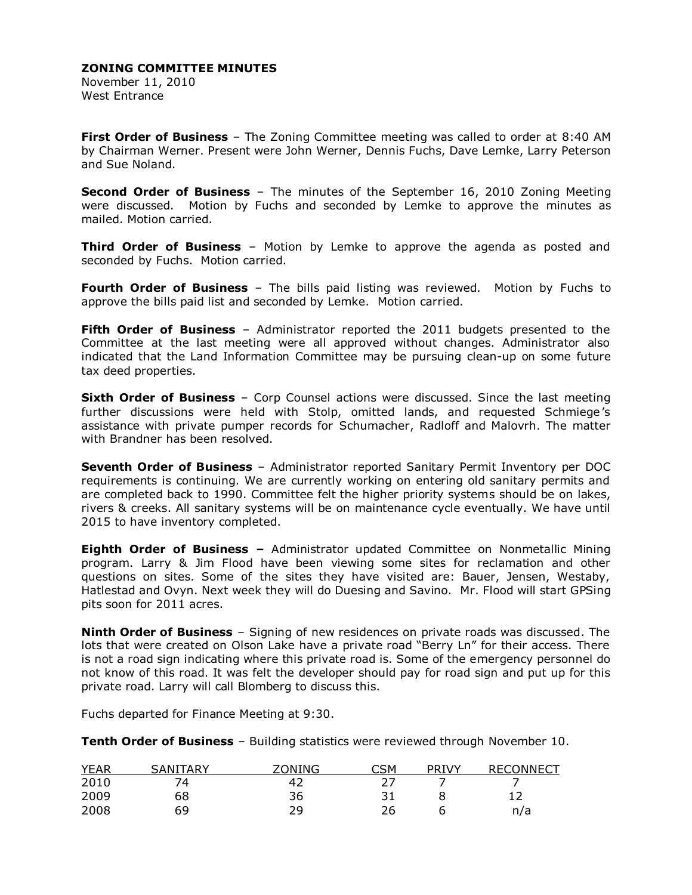November 11, 2010 West Entrance

**First Order of Business** – The Zoning Committee meeting was called to order at 8:40 AM by Chairman Werner. Present were John Werner, Dennis Fuchs, Dave Lemke, Larry Peterson and Sue Noland.

**Second Order of Business** – The minutes of the September 16, 2010 Zoning Meeting were discussed. Motion by Fuchs and seconded by Lemke to approve the minutes as mailed. Motion carried.

**Third Order of Business** – Motion by Lemke to approve the agenda as posted and seconded by Fuchs. Motion carried.

**Fourth Order of Business** – The bills paid listing was reviewed. Motion by Fuchs to approve the bills paid list and seconded by Lemke. Motion carried.

**Fifth Order of Business** – Administrator reported the 2011 budgets presented to the Committee at the last meeting were all approved without changes. Administrator also indicated that the Land Information Committee may be pursuing clean-up on some future tax deed properties.

**Sixth Order of Business** – Corp Counsel actions were discussed. Since the last meeting further discussions were held with Stolp, omitted lands, and requested Schmiege's assistance with private pumper records for Schumacher, Radloff and Malovrh. The matter with Brandner has been resolved.

**Seventh Order of Business** – Administrator reported Sanitary Permit Inventory per DOC requirements is continuing. We are currently working on entering old sanitary permits and are completed back to 1990. Committee felt the higher priority systems should be on lakes, rivers & creeks. All sanitary systems will be on maintenance cycle eventually. We have until 2015 to have inventory completed.

**Eighth Order of Business –** Administrator updated Committee on Nonmetallic Mining program. Larry & Jim Flood have been viewing some sites for reclamation and other questions on sites. Some of the sites they have visited are: Bauer, Jensen, Westaby, Hatlestad and Ovyn. Next week they will do Duesing and Savino. Mr. Flood will start GPSing pits soon for 2011 acres.

**Ninth Order of Business** – Signing of new residences on private roads was discussed. The lots that were created on Olson Lake have a private road "Berry Ln" for their access. There is not a road sign indicating where this private road is. Some of the emergency personnel do not know of this road. It was felt the developer should pay for road sign and put up for this private road. Larry will call Blomberg to discuss this.

Fuchs departed for Finance Meeting at 9:30.

**Tenth Order of Business** – Building statistics were reviewed through November 10.

| <b>YEAR</b> | TARY<br>$\Delta$ ANT | ZONING | ิ์⊂SM | <b>TVY</b><br>DD. | <b>RECONNECT</b> |
|-------------|----------------------|--------|-------|-------------------|------------------|
| 2010        | 74                   |        |       |                   |                  |
| 2009        | 68                   | 36     |       |                   |                  |
| 2008        | 69                   | າດ     | 26    |                   | n/a              |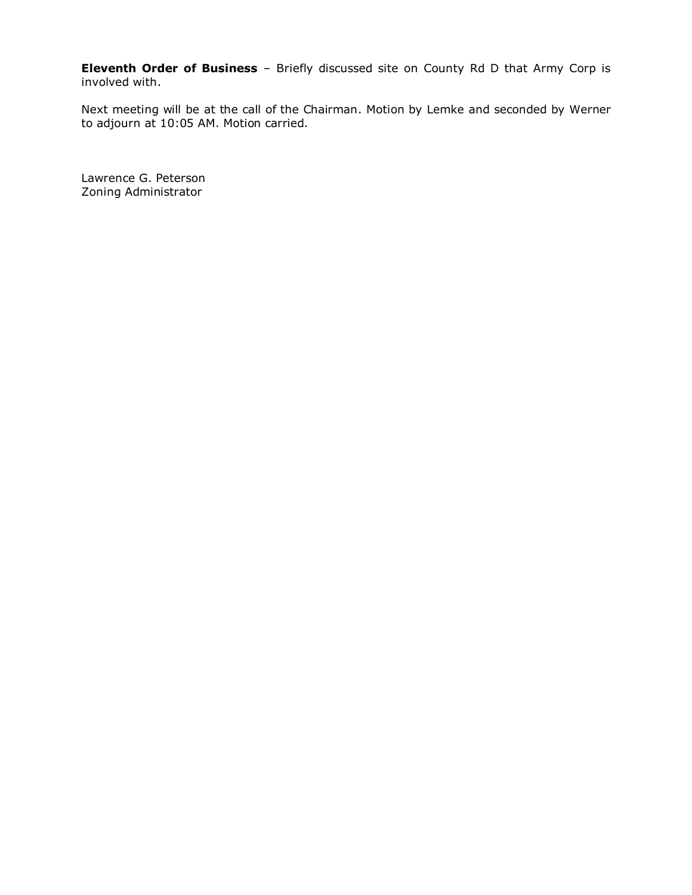**Eleventh Order of Business** – Briefly discussed site on County Rd D that Army Corp is involved with.

Next meeting will be at the call of the Chairman. Motion by Lemke and seconded by Werner to adjourn at 10:05 AM. Motion carried.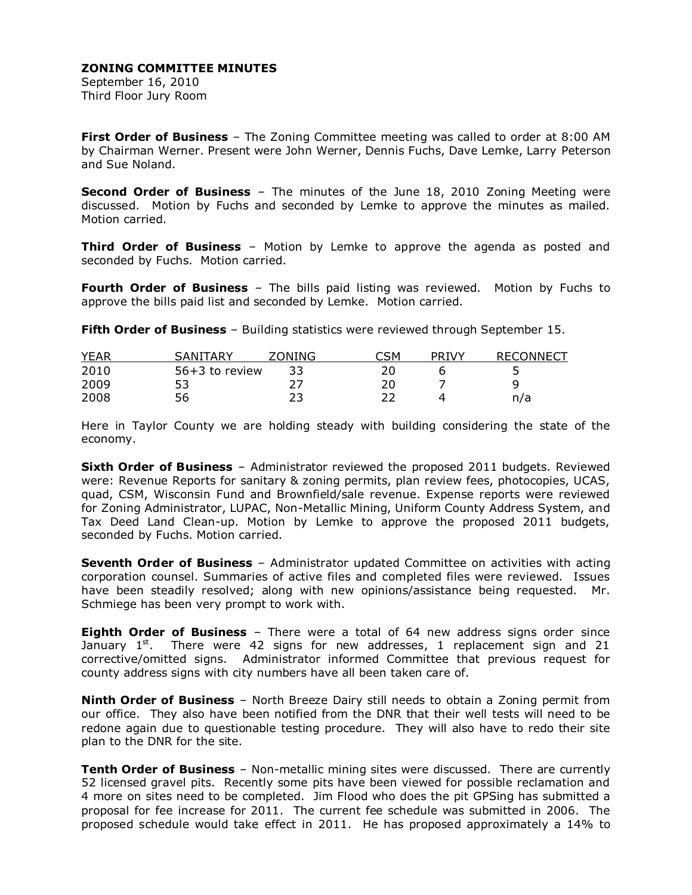September 16, 2010 Third Floor Jury Room

**First Order of Business** – The Zoning Committee meeting was called to order at 8:00 AM by Chairman Werner. Present were John Werner, Dennis Fuchs, Dave Lemke, Larry Peterson and Sue Noland.

**Second Order of Business** – The minutes of the June 18, 2010 Zoning Meeting were discussed. Motion by Fuchs and seconded by Lemke to approve the minutes as mailed. Motion carried.

**Third Order of Business** – Motion by Lemke to approve the agenda as posted and seconded by Fuchs. Motion carried.

**Fourth Order of Business** – The bills paid listing was reviewed. Motion by Fuchs to approve the bills paid list and seconded by Lemke. Motion carried.

**Fifth Order of Business** – Building statistics were reviewed through September 15.

| <b>YEAR</b> | SANITARY       | ZONING | ารм | <b>PRIVY</b> | <b>RECONNECT</b> |
|-------------|----------------|--------|-----|--------------|------------------|
| 2010        | 56+3 to review | 33     |     |              |                  |
| 2009        |                |        |     |              | a                |
| 2008        | 56             |        |     |              | n/a              |

Here in Taylor County we are holding steady with building considering the state of the economy.

**Sixth Order of Business** – Administrator reviewed the proposed 2011 budgets. Reviewed were: Revenue Reports for sanitary & zoning permits, plan review fees, photocopies, UCAS, quad, CSM, Wisconsin Fund and Brownfield/sale revenue. Expense reports were reviewed for Zoning Administrator, LUPAC, Non-Metallic Mining, Uniform County Address System, and Tax Deed Land Clean-up. Motion by Lemke to approve the proposed 2011 budgets, seconded by Fuchs. Motion carried.

**Seventh Order of Business** – Administrator updated Committee on activities with acting corporation counsel. Summaries of active files and completed files were reviewed. Issues have been steadily resolved; along with new opinions/assistance being requested. Mr. Schmiege has been very prompt to work with.

**Eighth Order of Business** – There were a total of 64 new address signs order since January  $1<sup>st</sup>$ . There were 42 signs for new addresses, 1 replacement sign and 21 corrective/omitted signs. Administrator informed Committee that previous request for county address signs with city numbers have all been taken care of.

**Ninth Order of Business** – North Breeze Dairy still needs to obtain a Zoning permit from our office. They also have been notified from the DNR that their well tests will need to be redone again due to questionable testing procedure. They will also have to redo their site plan to the DNR for the site.

**Tenth Order of Business** – Non-metallic mining sites were discussed. There are currently 52 licensed gravel pits. Recently some pits have been viewed for possible reclamation and 4 more on sites need to be completed. Jim Flood who does the pit GPSing has submitted a proposal for fee increase for 2011. The current fee schedule was submitted in 2006. The proposed schedule would take effect in 2011. He has proposed approximately a 14% to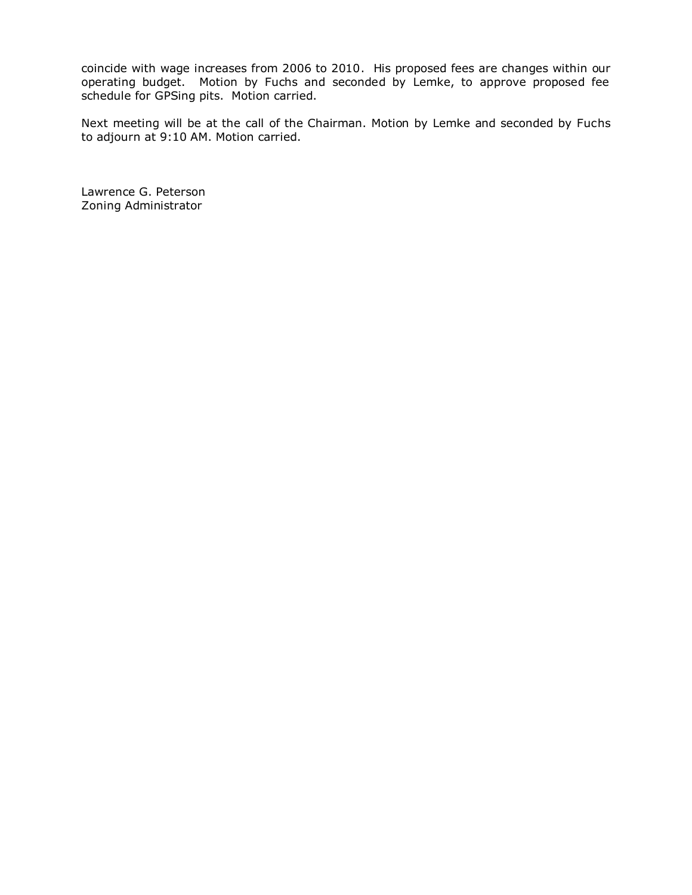coincide with wage increases from 2006 to 2010. His proposed fees are changes within our operating budget. Motion by Fuchs and seconded by Lemke, to approve proposed fee schedule for GPSing pits. Motion carried.

Next meeting will be at the call of the Chairman. Motion by Lemke and seconded by Fuchs to adjourn at 9:10 AM. Motion carried.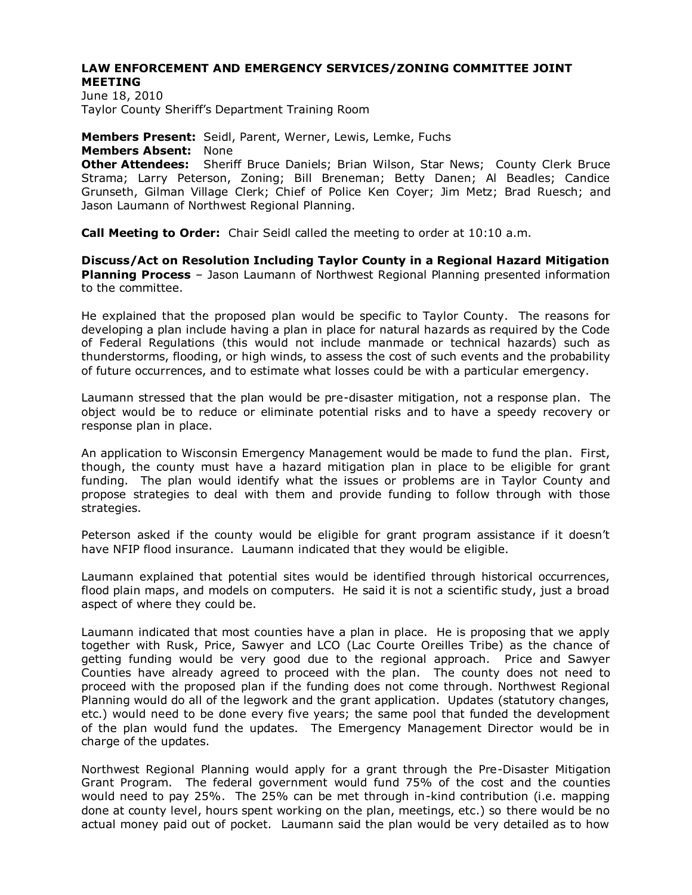#### **LAW ENFORCEMENT AND EMERGENCY SERVICES/ZONING COMMITTEE JOINT MEETING**

June 18, 2010 Taylor County Sheriff's Department Training Room

**Members Present:** Seidl, Parent, Werner, Lewis, Lemke, Fuchs **Members Absent:** None **Other Attendees:** Sheriff Bruce Daniels; Brian Wilson, Star News; County Clerk Bruce Strama; Larry Peterson, Zoning; Bill Breneman; Betty Danen; Al Beadles; Candice Grunseth, Gilman Village Clerk; Chief of Police Ken Coyer; Jim Metz; Brad Ruesch; and Jason Laumann of Northwest Regional Planning.

**Call Meeting to Order:** Chair Seidl called the meeting to order at 10:10 a.m.

**Discuss/Act on Resolution Including Taylor County in a Regional Hazard Mitigation Planning Process** – Jason Laumann of Northwest Regional Planning presented information to the committee.

He explained that the proposed plan would be specific to Taylor County. The reasons for developing a plan include having a plan in place for natural hazards as required by the Code of Federal Regulations (this would not include manmade or technical hazards) such as thunderstorms, flooding, or high winds, to assess the cost of such events and the probability of future occurrences, and to estimate what losses could be with a particular emergency.

Laumann stressed that the plan would be pre-disaster mitigation, not a response plan. The object would be to reduce or eliminate potential risks and to have a speedy recovery or response plan in place.

An application to Wisconsin Emergency Management would be made to fund the plan. First, though, the county must have a hazard mitigation plan in place to be eligible for grant funding. The plan would identify what the issues or problems are in Taylor County and propose strategies to deal with them and provide funding to follow through with those strategies.

Peterson asked if the county would be eligible for grant program assistance if it doesn't have NFIP flood insurance. Laumann indicated that they would be eligible.

Laumann explained that potential sites would be identified through historical occurrences, flood plain maps, and models on computers. He said it is not a scientific study, just a broad aspect of where they could be.

Laumann indicated that most counties have a plan in place. He is proposing that we apply together with Rusk, Price, Sawyer and LCO (Lac Courte Oreilles Tribe) as the chance of getting funding would be very good due to the regional approach. Price and Sawyer Counties have already agreed to proceed with the plan. The county does not need to proceed with the proposed plan if the funding does not come through. Northwest Regional Planning would do all of the legwork and the grant application. Updates (statutory changes, etc.) would need to be done every five years; the same pool that funded the development of the plan would fund the updates. The Emergency Management Director would be in charge of the updates.

Northwest Regional Planning would apply for a grant through the Pre-Disaster Mitigation Grant Program. The federal government would fund 75% of the cost and the counties would need to pay 25%. The 25% can be met through in-kind contribution (i.e. mapping done at county level, hours spent working on the plan, meetings, etc.) so there would be no actual money paid out of pocket. Laumann said the plan would be very detailed as to how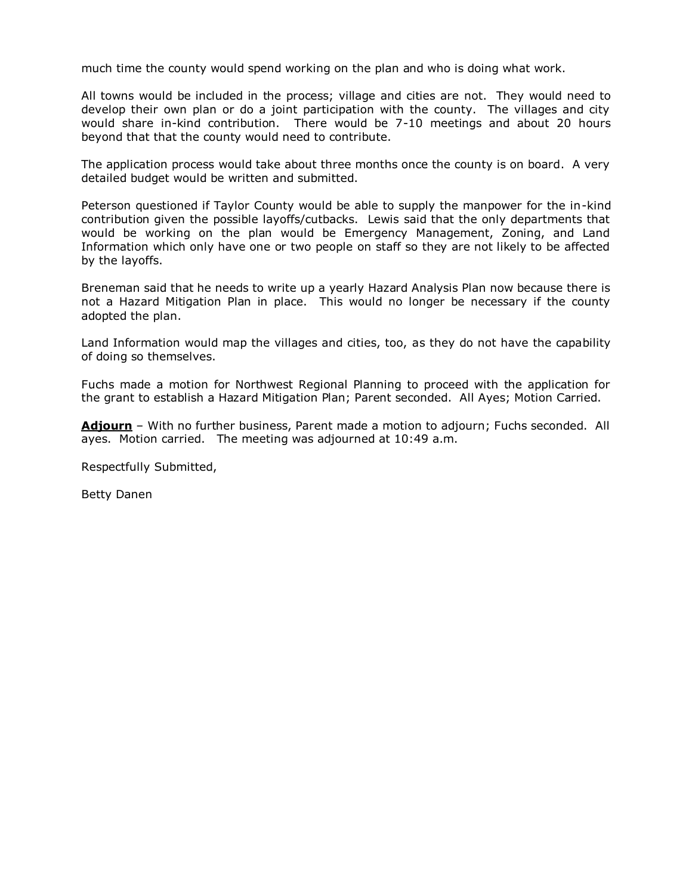much time the county would spend working on the plan and who is doing what work.

All towns would be included in the process; village and cities are not. They would need to develop their own plan or do a joint participation with the county. The villages and city would share in-kind contribution. There would be 7-10 meetings and about 20 hours beyond that that the county would need to contribute.

The application process would take about three months once the county is on board. A very detailed budget would be written and submitted.

Peterson questioned if Taylor County would be able to supply the manpower for the in-kind contribution given the possible layoffs/cutbacks. Lewis said that the only departments that would be working on the plan would be Emergency Management, Zoning, and Land Information which only have one or two people on staff so they are not likely to be affected by the layoffs.

Breneman said that he needs to write up a yearly Hazard Analysis Plan now because there is not a Hazard Mitigation Plan in place. This would no longer be necessary if the county adopted the plan.

Land Information would map the villages and cities, too, as they do not have the capability of doing so themselves.

Fuchs made a motion for Northwest Regional Planning to proceed with the application for the grant to establish a Hazard Mitigation Plan; Parent seconded. All Ayes; Motion Carried.

Adiourn - With no further business, Parent made a motion to adjourn; Fuchs seconded. All ayes. Motion carried. The meeting was adjourned at 10:49 a.m.

Respectfully Submitted,

Betty Danen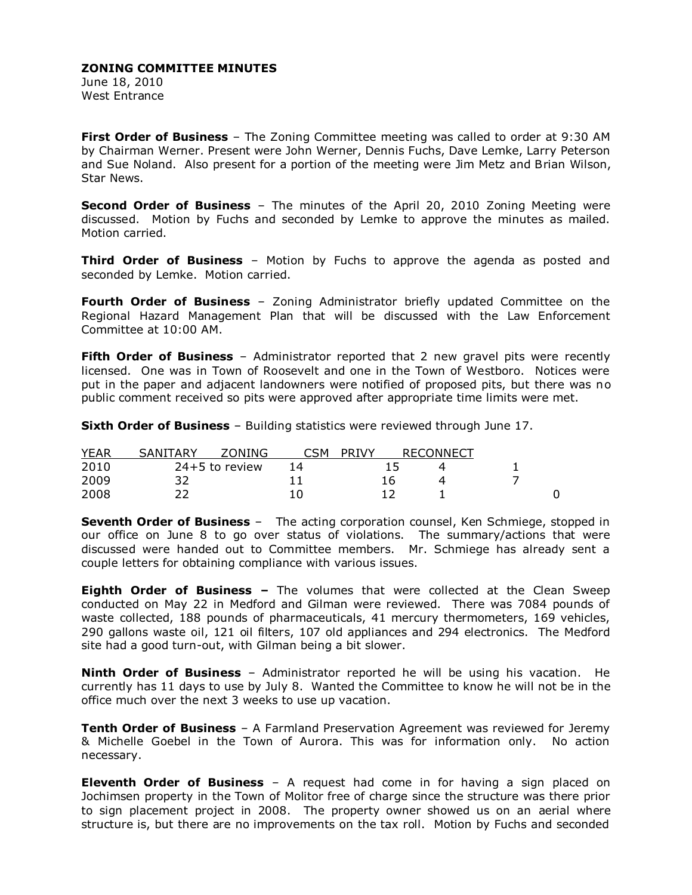June 18, 2010 West Entrance

**First Order of Business** – The Zoning Committee meeting was called to order at 9:30 AM by Chairman Werner. Present were John Werner, Dennis Fuchs, Dave Lemke, Larry Peterson and Sue Noland. Also present for a portion of the meeting were Jim Metz and Brian Wilson, Star News.

**Second Order of Business** – The minutes of the April 20, 2010 Zoning Meeting were discussed. Motion by Fuchs and seconded by Lemke to approve the minutes as mailed. Motion carried.

**Third Order of Business** – Motion by Fuchs to approve the agenda as posted and seconded by Lemke. Motion carried.

**Fourth Order of Business** – Zoning Administrator briefly updated Committee on the Regional Hazard Management Plan that will be discussed with the Law Enforcement Committee at 10:00 AM.

**Fifth Order of Business** – Administrator reported that 2 new gravel pits were recently licensed. One was in Town of Roosevelt and one in the Town of Westboro. Notices were put in the paper and adjacent landowners were notified of proposed pits, but there was no public comment received so pits were approved after appropriate time limits were met.

**Sixth Order of Business** – Building statistics were reviewed through June 17.

| <b>YEAR</b> | SANITARY | <b>ZONING</b>    | ∩รм | <b>PRIVY</b> | <b>RECONNECT</b> |  |
|-------------|----------|------------------|-----|--------------|------------------|--|
| 2010        |          | $24+5$ to review | 14  |              |                  |  |
| 2009        |          |                  |     |              |                  |  |
| 2008        |          |                  |     |              |                  |  |

**Seventh Order of Business** – The acting corporation counsel, Ken Schmiege, stopped in our office on June 8 to go over status of violations. The summary/actions that were discussed were handed out to Committee members. Mr. Schmiege has already sent a couple letters for obtaining compliance with various issues.

**Eighth Order of Business –** The volumes that were collected at the Clean Sweep conducted on May 22 in Medford and Gilman were reviewed. There was 7084 pounds of waste collected, 188 pounds of pharmaceuticals, 41 mercury thermometers, 169 vehicles, 290 gallons waste oil, 121 oil filters, 107 old appliances and 294 electronics. The Medford site had a good turn-out, with Gilman being a bit slower.

**Ninth Order of Business** – Administrator reported he will be using his vacation. He currently has 11 days to use by July 8. Wanted the Committee to know he will not be in the office much over the next 3 weeks to use up vacation.

**Tenth Order of Business** – A Farmland Preservation Agreement was reviewed for Jeremy & Michelle Goebel in the Town of Aurora. This was for information only. No action necessary.

**Eleventh Order of Business** – A request had come in for having a sign placed on Jochimsen property in the Town of Molitor free of charge since the structure was there prior to sign placement project in 2008. The property owner showed us on an aerial where structure is, but there are no improvements on the tax roll. Motion by Fuchs and seconded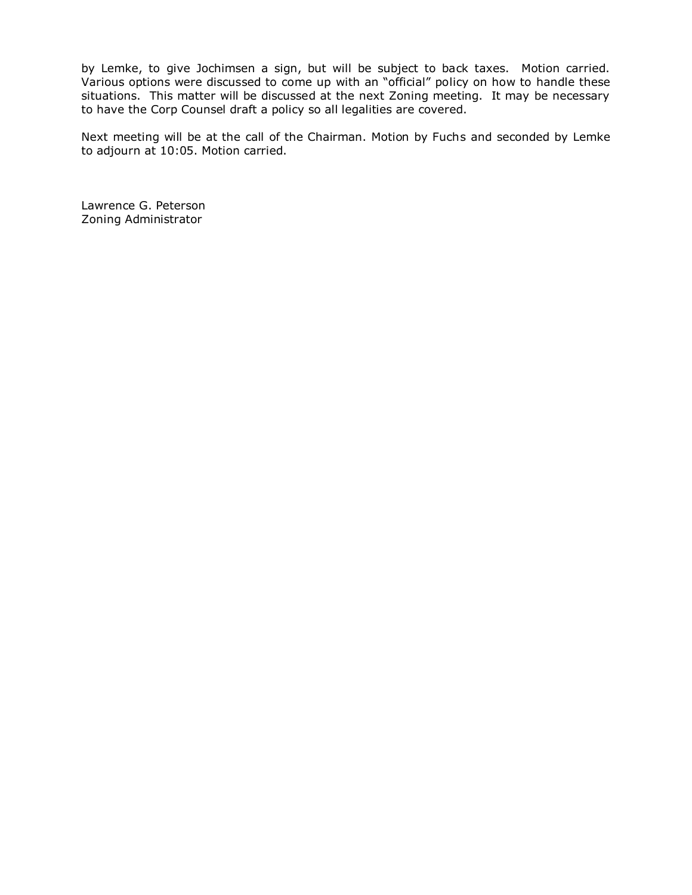by Lemke, to give Jochimsen a sign, but will be subject to back taxes. Motion carried. Various options were discussed to come up with an "official" policy on how to handle these situations. This matter will be discussed at the next Zoning meeting. It may be necessary to have the Corp Counsel draft a policy so all legalities are covered.

Next meeting will be at the call of the Chairman. Motion by Fuchs and seconded by Lemke to adjourn at 10:05. Motion carried.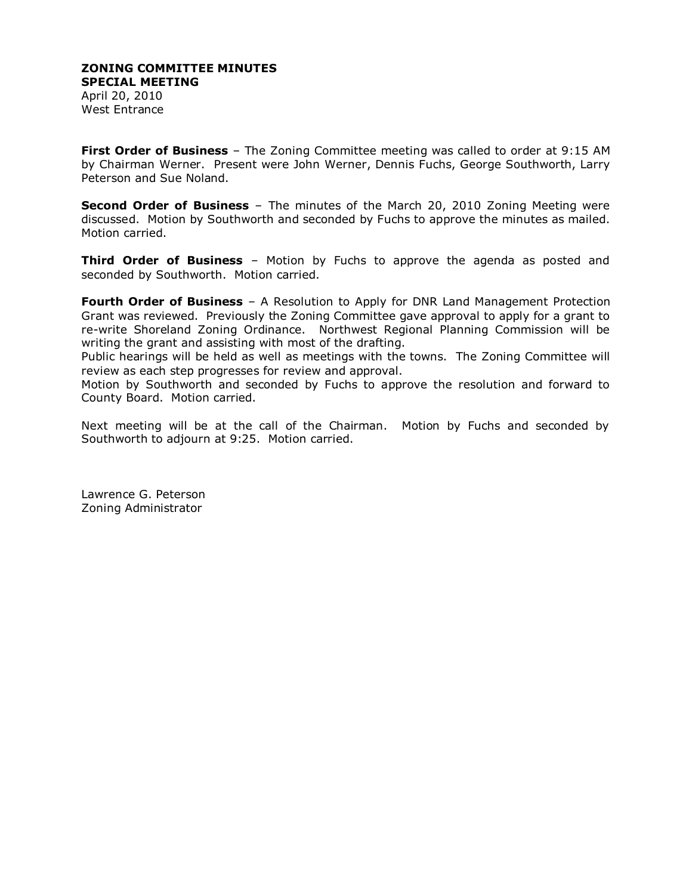April 20, 2010 West Entrance

**First Order of Business** – The Zoning Committee meeting was called to order at 9:15 AM by Chairman Werner. Present were John Werner, Dennis Fuchs, George Southworth, Larry Peterson and Sue Noland.

**Second Order of Business** – The minutes of the March 20, 2010 Zoning Meeting were discussed. Motion by Southworth and seconded by Fuchs to approve the minutes as mailed. Motion carried.

**Third Order of Business** – Motion by Fuchs to approve the agenda as posted and seconded by Southworth. Motion carried.

**Fourth Order of Business** – A Resolution to Apply for DNR Land Management Protection Grant was reviewed. Previously the Zoning Committee gave approval to apply for a grant to re-write Shoreland Zoning Ordinance. Northwest Regional Planning Commission will be writing the grant and assisting with most of the drafting.

Public hearings will be held as well as meetings with the towns. The Zoning Committee will review as each step progresses for review and approval.

Motion by Southworth and seconded by Fuchs to approve the resolution and forward to County Board. Motion carried.

Next meeting will be at the call of the Chairman. Motion by Fuchs and seconded by Southworth to adjourn at 9:25. Motion carried.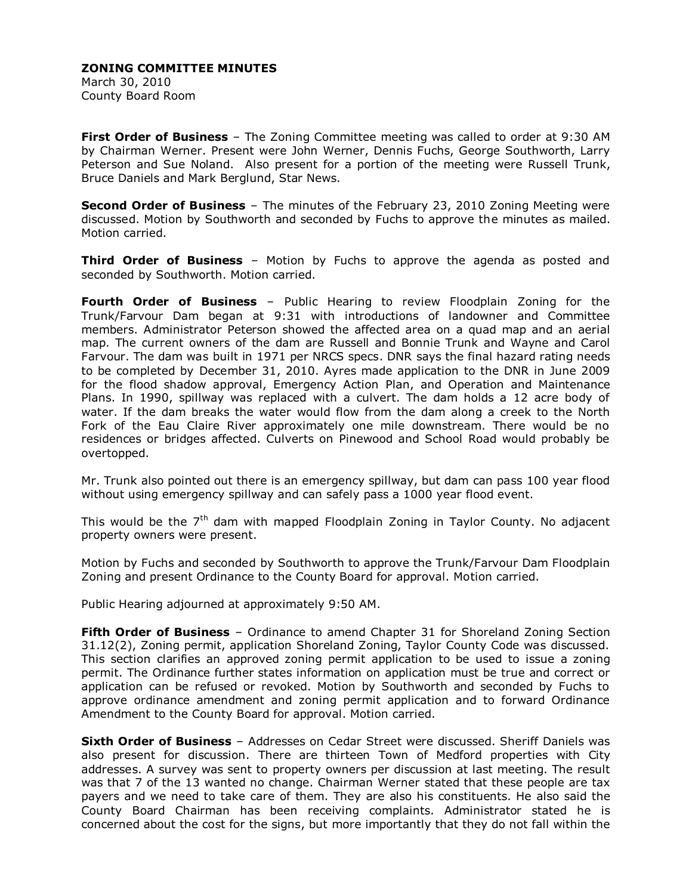March 30, 2010 County Board Room

**First Order of Business** – The Zoning Committee meeting was called to order at 9:30 AM by Chairman Werner. Present were John Werner, Dennis Fuchs, George Southworth, Larry Peterson and Sue Noland. Also present for a portion of the meeting were Russell Trunk, Bruce Daniels and Mark Berglund, Star News.

**Second Order of Business** – The minutes of the February 23, 2010 Zoning Meeting were discussed. Motion by Southworth and seconded by Fuchs to approve the minutes as mailed. Motion carried.

**Third Order of Business** – Motion by Fuchs to approve the agenda as posted and seconded by Southworth. Motion carried.

**Fourth Order of Business** – Public Hearing to review Floodplain Zoning for the Trunk/Farvour Dam began at 9:31 with introductions of landowner and Committee members. Administrator Peterson showed the affected area on a quad map and an aerial map. The current owners of the dam are Russell and Bonnie Trunk and Wayne and Carol Farvour. The dam was built in 1971 per NRCS specs. DNR says the final hazard rating needs to be completed by December 31, 2010. Ayres made application to the DNR in June 2009 for the flood shadow approval, Emergency Action Plan, and Operation and Maintenance Plans. In 1990, spillway was replaced with a culvert. The dam holds a 12 acre body of water. If the dam breaks the water would flow from the dam along a creek to the North Fork of the Eau Claire River approximately one mile downstream. There would be no residences or bridges affected. Culverts on Pinewood and School Road would probably be overtopped.

Mr. Trunk also pointed out there is an emergency spillway, but dam can pass 100 year flood without using emergency spillway and can safely pass a 1000 year flood event.

This would be the 7<sup>th</sup> dam with mapped Floodplain Zoning in Taylor County. No adjacent property owners were present.

Motion by Fuchs and seconded by Southworth to approve the Trunk/Farvour Dam Floodplain Zoning and present Ordinance to the County Board for approval. Motion carried.

Public Hearing adjourned at approximately 9:50 AM.

**Fifth Order of Business** – Ordinance to amend Chapter 31 for Shoreland Zoning Section 31.12(2), Zoning permit, application Shoreland Zoning, Taylor County Code was discussed. This section clarifies an approved zoning permit application to be used to issue a zoning permit. The Ordinance further states information on application must be true and correct or application can be refused or revoked. Motion by Southworth and seconded by Fuchs to approve ordinance amendment and zoning permit application and to forward Ordinance Amendment to the County Board for approval. Motion carried.

**Sixth Order of Business** – Addresses on Cedar Street were discussed. Sheriff Daniels was also present for discussion. There are thirteen Town of Medford properties with City addresses. A survey was sent to property owners per discussion at last meeting. The result was that 7 of the 13 wanted no change. Chairman Werner stated that these people are tax payers and we need to take care of them. They are also his constituents. He also said the County Board Chairman has been receiving complaints. Administrator stated he is concerned about the cost for the signs, but more importantly that they do not fall within the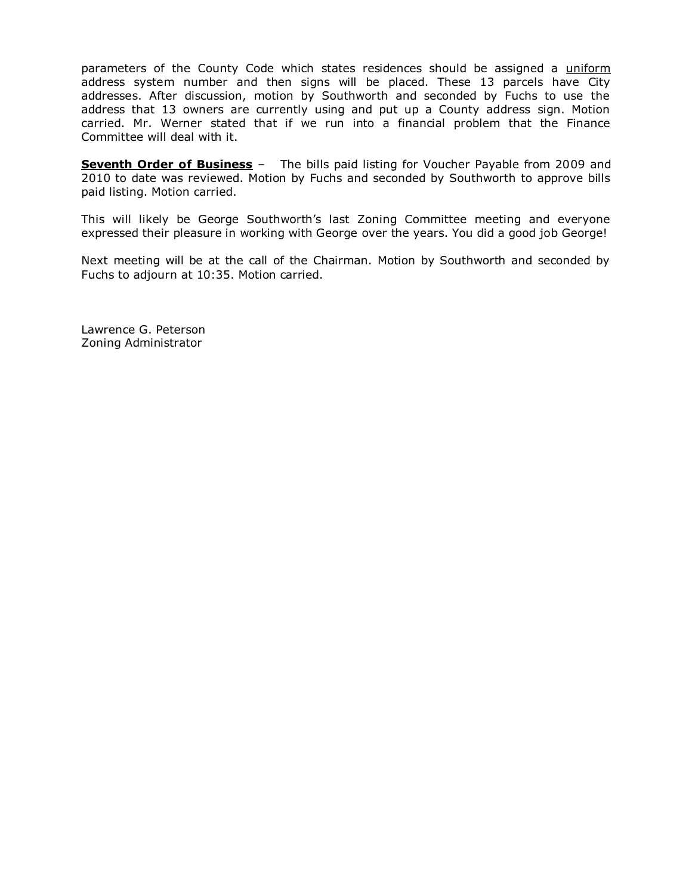parameters of the County Code which states residences should be assigned a uniform address system number and then signs will be placed. These 13 parcels have City addresses. After discussion, motion by Southworth and seconded by Fuchs to use the address that 13 owners are currently using and put up a County address sign. Motion carried. Mr. Werner stated that if we run into a financial problem that the Finance Committee will deal with it.

**Seventh Order of Business** - The bills paid listing for Voucher Payable from 2009 and 2010 to date was reviewed. Motion by Fuchs and seconded by Southworth to approve bills paid listing. Motion carried.

This will likely be George Southworth's last Zoning Committee meeting and everyone expressed their pleasure in working with George over the years. You did a good job George!

Next meeting will be at the call of the Chairman. Motion by Southworth and seconded by Fuchs to adjourn at 10:35. Motion carried.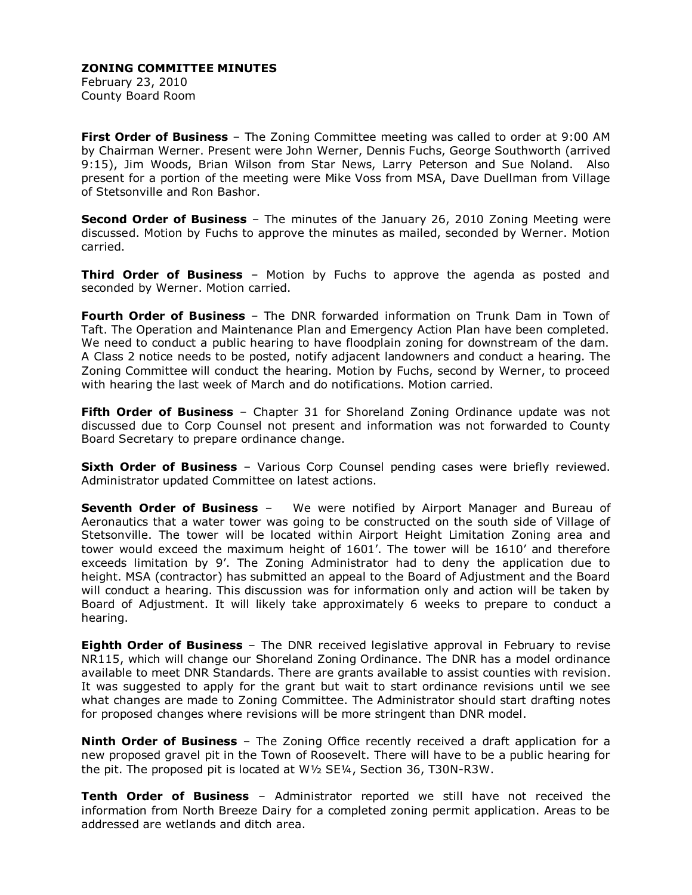February 23, 2010 County Board Room

**First Order of Business** – The Zoning Committee meeting was called to order at 9:00 AM by Chairman Werner. Present were John Werner, Dennis Fuchs, George Southworth (arrived 9:15), Jim Woods, Brian Wilson from Star News, Larry Peterson and Sue Noland. Also present for a portion of the meeting were Mike Voss from MSA, Dave Duellman from Village of Stetsonville and Ron Bashor.

**Second Order of Business** – The minutes of the January 26, 2010 Zoning Meeting were discussed. Motion by Fuchs to approve the minutes as mailed, seconded by Werner. Motion carried.

**Third Order of Business** – Motion by Fuchs to approve the agenda as posted and seconded by Werner. Motion carried.

**Fourth Order of Business** – The DNR forwarded information on Trunk Dam in Town of Taft. The Operation and Maintenance Plan and Emergency Action Plan have been completed. We need to conduct a public hearing to have floodplain zoning for downstream of the dam. A Class 2 notice needs to be posted, notify adjacent landowners and conduct a hearing. The Zoning Committee will conduct the hearing. Motion by Fuchs, second by Werner, to proceed with hearing the last week of March and do notifications. Motion carried.

**Fifth Order of Business** – Chapter 31 for Shoreland Zoning Ordinance update was not discussed due to Corp Counsel not present and information was not forwarded to County Board Secretary to prepare ordinance change.

**Sixth Order of Business** - Various Corp Counsel pending cases were briefly reviewed. Administrator updated Committee on latest actions.

**Seventh Order of Business** – We were notified by Airport Manager and Bureau of Aeronautics that a water tower was going to be constructed on the south side of Village of Stetsonville. The tower will be located within Airport Height Limitation Zoning area and tower would exceed the maximum height of 1601'. The tower will be 1610' and therefore exceeds limitation by 9'. The Zoning Administrator had to deny the application due to height. MSA (contractor) has submitted an appeal to the Board of Adjustment and the Board will conduct a hearing. This discussion was for information only and action will be taken by Board of Adjustment. It will likely take approximately 6 weeks to prepare to conduct a hearing.

**Eighth Order of Business** – The DNR received legislative approval in February to revise NR115, which will change our Shoreland Zoning Ordinance. The DNR has a model ordinance available to meet DNR Standards. There are grants available to assist counties with revision. It was suggested to apply for the grant but wait to start ordinance revisions until we see what changes are made to Zoning Committee. The Administrator should start drafting notes for proposed changes where revisions will be more stringent than DNR model.

**Ninth Order of Business** – The Zoning Office recently received a draft application for a new proposed gravel pit in the Town of Roosevelt. There will have to be a public hearing for the pit. The proposed pit is located at W½ SE¼, Section 36, T30N-R3W.

**Tenth Order of Business** – Administrator reported we still have not received the information from North Breeze Dairy for a completed zoning permit application. Areas to be addressed are wetlands and ditch area.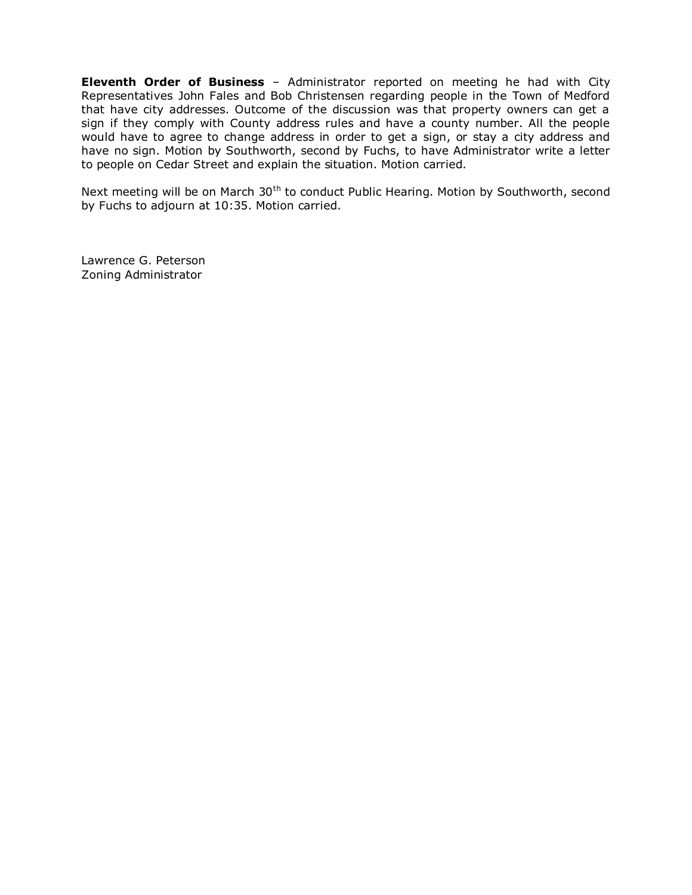**Eleventh Order of Business** – Administrator reported on meeting he had with City Representatives John Fales and Bob Christensen regarding people in the Town of Medford that have city addresses. Outcome of the discussion was that property owners can get a sign if they comply with County address rules and have a county number. All the people would have to agree to change address in order to get a sign, or stay a city address and have no sign. Motion by Southworth, second by Fuchs, to have Administrator write a letter to people on Cedar Street and explain the situation. Motion carried.

Next meeting will be on March 30<sup>th</sup> to conduct Public Hearing. Motion by Southworth, second by Fuchs to adjourn at 10:35. Motion carried.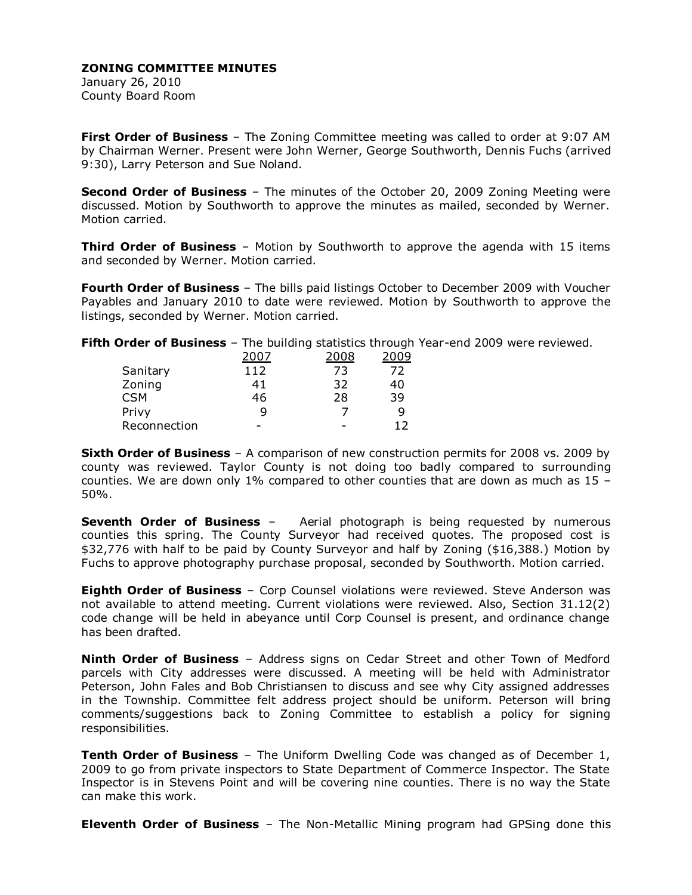January 26, 2010 County Board Room

**First Order of Business** – The Zoning Committee meeting was called to order at 9:07 AM by Chairman Werner. Present were John Werner, George Southworth, Dennis Fuchs (arrived 9:30), Larry Peterson and Sue Noland.

**Second Order of Business** – The minutes of the October 20, 2009 Zoning Meeting were discussed. Motion by Southworth to approve the minutes as mailed, seconded by Werner. Motion carried.

**Third Order of Business** – Motion by Southworth to approve the agenda with 15 items and seconded by Werner. Motion carried.

**Fourth Order of Business** – The bills paid listings October to December 2009 with Voucher Payables and January 2010 to date were reviewed. Motion by Southworth to approve the listings, seconded by Werner. Motion carried.

**Fifth Order of Business** – The building statistics through Year-end 2009 were reviewed.

|              |     | 2008 | 2009 |
|--------------|-----|------|------|
| Sanitary     | 112 | 73   | 72   |
| Zoning       | 41  | 32   | 40   |
| <b>CSM</b>   | 46  | 28   | 39   |
| Privy        | q   |      | q    |
| Reconnection |     | -    | 12   |

**Sixth Order of Business** – A comparison of new construction permits for 2008 vs. 2009 by county was reviewed. Taylor County is not doing too badly compared to surrounding counties. We are down only 1% compared to other counties that are down as much as 15 – 50%.

**Seventh Order of Business** – Aerial photograph is being requested by numerous counties this spring. The County Surveyor had received quotes. The proposed cost is \$32,776 with half to be paid by County Surveyor and half by Zoning (\$16,388.) Motion by Fuchs to approve photography purchase proposal, seconded by Southworth. Motion carried.

**Eighth Order of Business** – Corp Counsel violations were reviewed. Steve Anderson was not available to attend meeting. Current violations were reviewed. Also, Section 31.12(2) code change will be held in abeyance until Corp Counsel is present, and ordinance change has been drafted.

**Ninth Order of Business** – Address signs on Cedar Street and other Town of Medford parcels with City addresses were discussed. A meeting will be held with Administrator Peterson, John Fales and Bob Christiansen to discuss and see why City assigned addresses in the Township. Committee felt address project should be uniform. Peterson will bring comments/suggestions back to Zoning Committee to establish a policy for signing responsibilities.

**Tenth Order of Business** – The Uniform Dwelling Code was changed as of December 1, 2009 to go from private inspectors to State Department of Commerce Inspector. The State Inspector is in Stevens Point and will be covering nine counties. There is no way the State can make this work.

**Eleventh Order of Business** – The Non-Metallic Mining program had GPSing done this